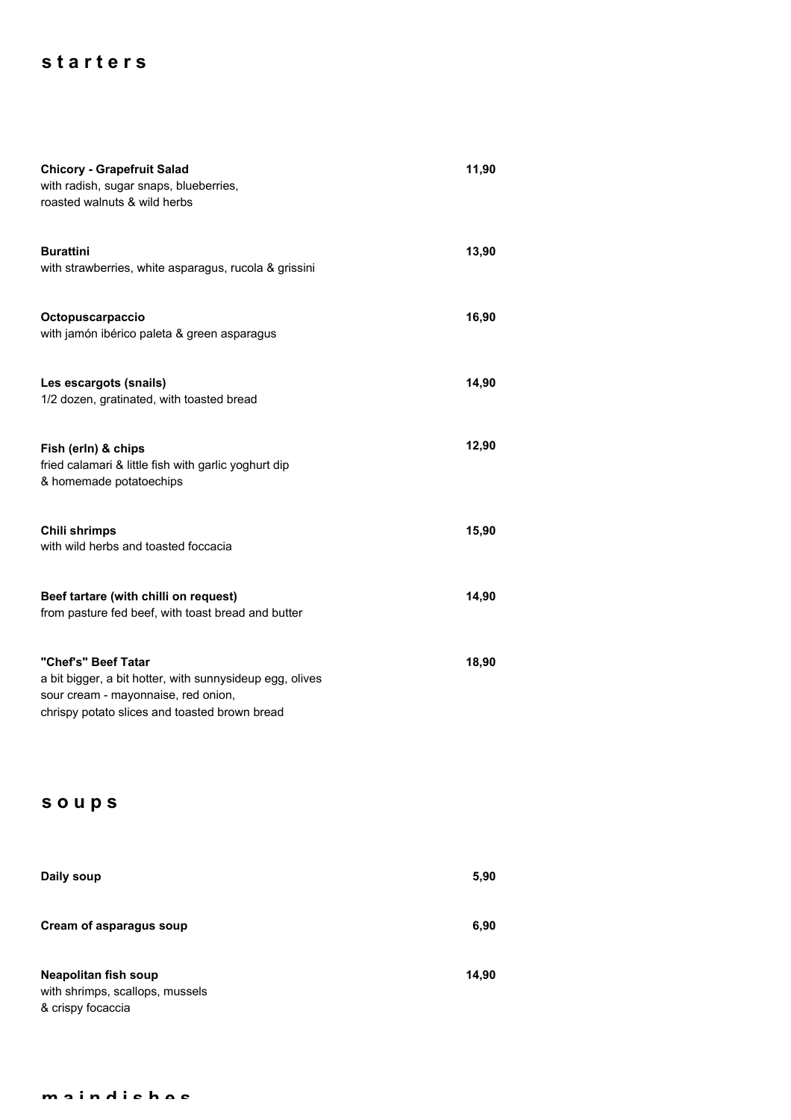## **s t a r t e r s**

| <b>Chicory - Grapefruit Salad</b><br>with radish, sugar snaps, blueberries,<br>roasted walnuts & wild herbs                                                             | 11,90 |
|-------------------------------------------------------------------------------------------------------------------------------------------------------------------------|-------|
| <b>Burattini</b><br>with strawberries, white asparagus, rucola & grissini                                                                                               | 13,90 |
| Octopuscarpaccio<br>with jamón ibérico paleta & green asparagus                                                                                                         | 16,90 |
| Les escargots (snails)<br>1/2 dozen, gratinated, with toasted bread                                                                                                     | 14,90 |
| Fish (erln) & chips<br>fried calamari & little fish with garlic yoghurt dip<br>& homemade potatoechips                                                                  | 12,90 |
| <b>Chili shrimps</b><br>with wild herbs and toasted foccacia                                                                                                            | 15,90 |
| Beef tartare (with chilli on request)<br>from pasture fed beef, with toast bread and butter                                                                             | 14,90 |
| "Chef's" Beef Tatar<br>a bit bigger, a bit hotter, with sunnysideup egg, olives<br>sour cream - mayonnaise, red onion,<br>chrispy potato slices and toasted brown bread | 18,90 |

## **s o u p s**

| Daily soup                                                                          | 5,90  |
|-------------------------------------------------------------------------------------|-------|
| Cream of asparagus soup                                                             | 6,90  |
| <b>Neapolitan fish soup</b><br>with shrimps, scallops, mussels<br>& crispy focaccia | 14,90 |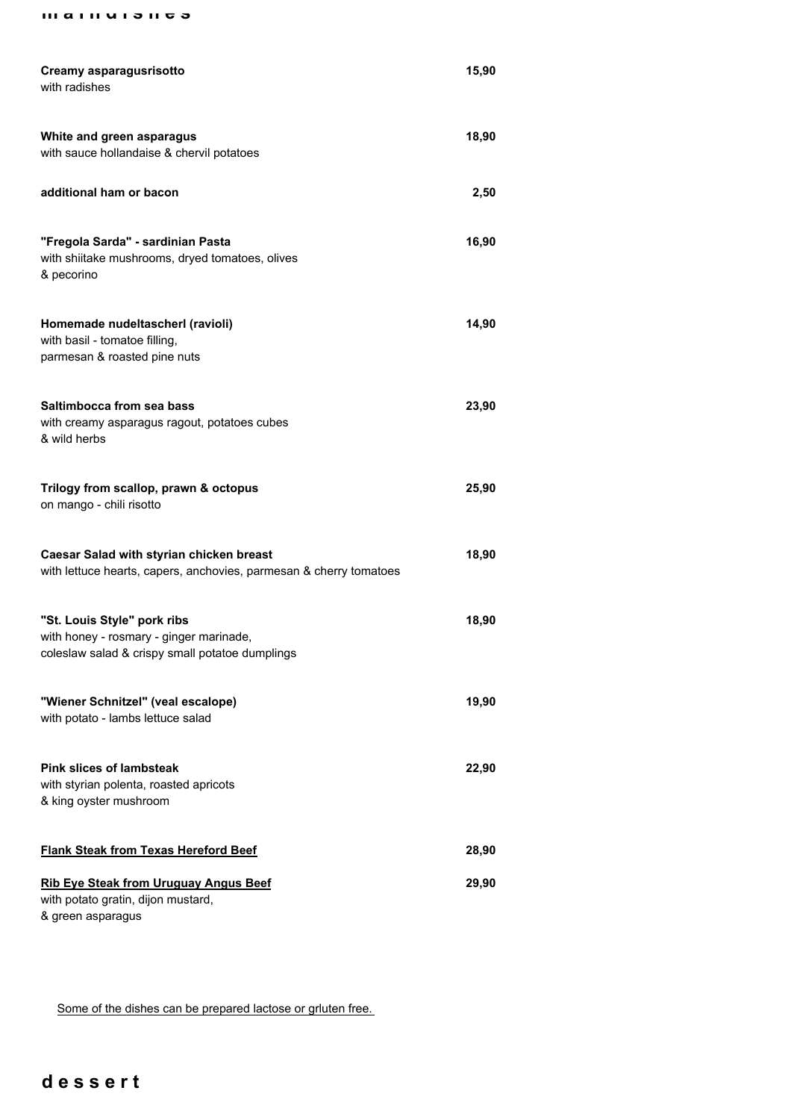**m a i n d i s h e s**

| Creamy asparagusrisotto<br>with radishes                                                                                  | 15,90 |
|---------------------------------------------------------------------------------------------------------------------------|-------|
| White and green asparagus<br>with sauce hollandaise & chervil potatoes                                                    | 18,90 |
| additional ham or bacon                                                                                                   | 2,50  |
| "Fregola Sarda" - sardinian Pasta<br>with shiitake mushrooms, dryed tomatoes, olives<br>& pecorino                        | 16,90 |
| Homemade nudeltascherl (ravioli)<br>with basil - tomatoe filling,<br>parmesan & roasted pine nuts                         | 14,90 |
| Saltimbocca from sea bass<br>with creamy asparagus ragout, potatoes cubes<br>& wild herbs                                 | 23,90 |
| Trilogy from scallop, prawn & octopus<br>on mango - chili risotto                                                         | 25,90 |
| Caesar Salad with styrian chicken breast<br>with lettuce hearts, capers, anchovies, parmesan & cherry tomatoes            | 18,90 |
| "St. Louis Style" pork ribs<br>with honey - rosmary - ginger marinade,<br>coleslaw salad & crispy small potatoe dumplings | 18,90 |
| "Wiener Schnitzel" (veal escalope)<br>with potato - lambs lettuce salad                                                   | 19,90 |
| <b>Pink slices of lambsteak</b><br>with styrian polenta, roasted apricots<br>& king oyster mushroom                       | 22,90 |
| <b>Flank Steak from Texas Hereford Beef</b>                                                                               | 28,90 |
| <b>Rib Eye Steak from Uruguay Angus Beef</b><br>with potato gratin, dijon mustard,<br>& green asparagus                   | 29,90 |

Some of the dishes can be prepared lactose or grluten free.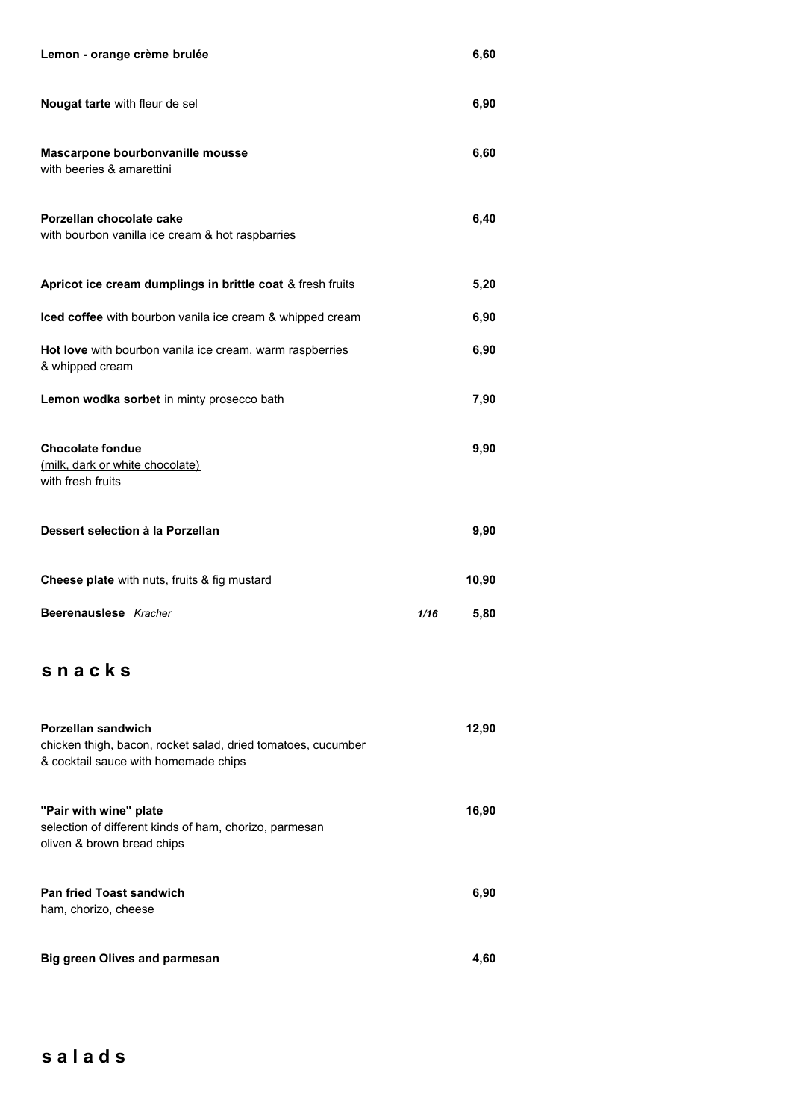| Lemon - orange crème brulée                                                                                                |      | 6,60  |
|----------------------------------------------------------------------------------------------------------------------------|------|-------|
| Nougat tarte with fleur de sel                                                                                             |      | 6,90  |
| Mascarpone bourbonvanille mousse<br>with beeries & amarettini                                                              |      | 6,60  |
| Porzellan chocolate cake<br>with bourbon vanilla ice cream & hot raspbarries                                               |      | 6,40  |
| Apricot ice cream dumplings in brittle coat & fresh fruits                                                                 |      | 5,20  |
| Iced coffee with bourbon vanila ice cream & whipped cream                                                                  |      | 6,90  |
| Hot love with bourbon vanila ice cream, warm raspberries<br>& whipped cream                                                |      | 6,90  |
| Lemon wodka sorbet in minty prosecco bath                                                                                  |      | 7,90  |
| <b>Chocolate fondue</b><br>(milk, dark or white chocolate)<br>with fresh fruits                                            |      | 9,90  |
|                                                                                                                            |      |       |
| Dessert selection à la Porzellan                                                                                           |      | 9,90  |
| Cheese plate with nuts, fruits & fig mustard                                                                               |      | 10,90 |
| Beerenauslese Kracher                                                                                                      | 1/16 | 5,80  |
| snacks                                                                                                                     |      |       |
| Porzellan sandwich<br>chicken thigh, bacon, rocket salad, dried tomatoes, cucumber<br>& cocktail sauce with homemade chips |      | 12,90 |
| "Pair with wine" plate<br>selection of different kinds of ham, chorizo, parmesan<br>oliven & brown bread chips             |      | 16,90 |
| <b>Pan fried Toast sandwich</b><br>ham, chorizo, cheese                                                                    |      | 6,90  |